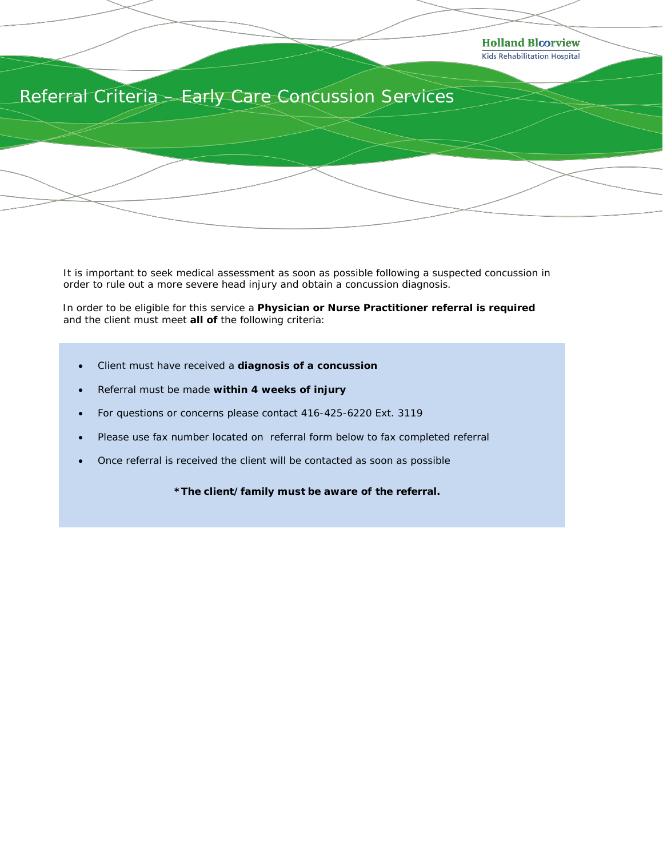

It is important to seek medical assessment as soon as possible following a suspected concussion in order to rule out a more severe head injury and obtain a concussion diagnosis.

 In order to be eligible for this service a **Physician or Nurse Practitioner referral is required**  and the client must meet **all of** the following criteria:

- Client must have received a **diagnosis of a concussion**
- Referral must be made **within 4 weeks of injury**
- For questions or concerns please contact 416-425-6220 Ext. 3119
- Please use fax number located on referral form below to fax completed referral
- Once referral is received the client will be contacted as soon as possible

**\****The client/family must be aware of the referral.*